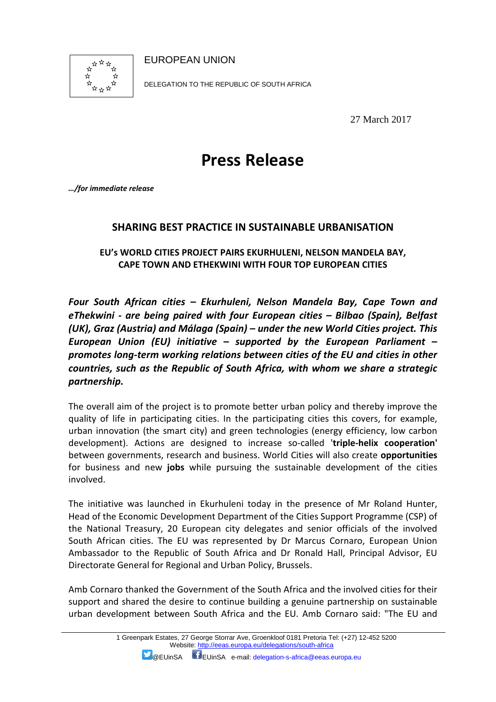

EUROPEAN UNION

DELEGATION TO THE REPUBLIC OF SOUTH AFRICA

27 March 2017

# **Press Release**

*…/for immediate release* 

## **SHARING BEST PRACTICE IN SUSTAINABLE URBANISATION**

### **EU's WORLD CITIES PROJECT PAIRS EKURHULENI, NELSON MANDELA BAY, CAPE TOWN AND ETHEKWINI WITH FOUR TOP EUROPEAN CITIES**

*Four South African cities – Ekurhuleni, Nelson Mandela Bay, Cape Town and eThekwini - are being paired with four European cities – Bilbao (Spain), Belfast (UK), Graz (Austria) and Málaga (Spain) – under the new World Cities project. This European Union (EU) initiative – supported by the European Parliament – promotes long-term working relations between cities of the EU and cities in other countries, such as the Republic of South Africa, with whom we share a strategic partnership.* 

The overall aim of the project is to promote better urban policy and thereby improve the quality of life in participating cities. In the participating cities this covers, for example, urban innovation (the smart city) and green technologies (energy efficiency, low carbon development). Actions are designed to increase so-called '**triple-helix cooperation'** between governments, research and business. World Cities will also create **opportunities** for business and new **jobs** while pursuing the sustainable development of the cities involved.

The initiative was launched in Ekurhuleni today in the presence of Mr Roland Hunter, Head of the Economic Development Department of the Cities Support Programme (CSP) of the National Treasury, 20 European city delegates and senior officials of the involved South African cities. The EU was represented by Dr Marcus Cornaro, European Union Ambassador to the Republic of South Africa and Dr Ronald Hall, Principal Advisor, EU Directorate General for Regional and Urban Policy, Brussels.

Amb Cornaro thanked the Government of the South Africa and the involved cities for their support and shared the desire to continue building a genuine partnership on sustainable urban development between South Africa and the EU. Amb Cornaro said: "The EU and

@EUinSA EUinSA e-mail: delegation-s-africa@eeas.europa.eu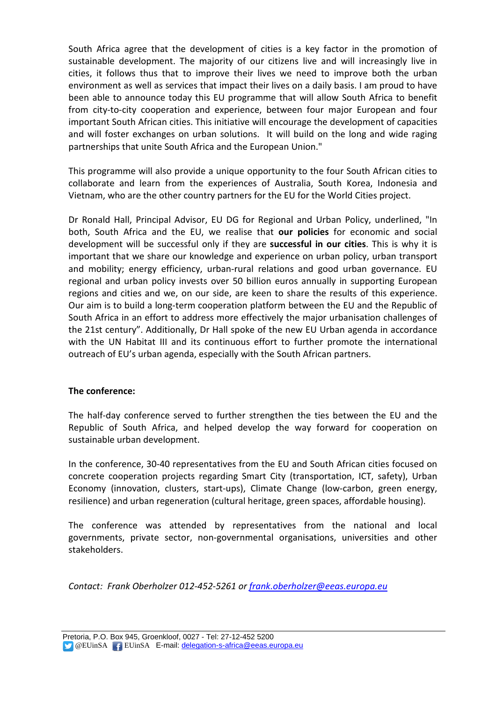South Africa agree that the development of cities is a key factor in the promotion of sustainable development. The majority of our citizens live and will increasingly live in cities, it follows thus that to improve their lives we need to improve both the urban environment as well as services that impact their lives on a daily basis. I am proud to have been able to announce today this EU programme that will allow South Africa to benefit from city-to-city cooperation and experience, between four major European and four important South African cities. This initiative will encourage the development of capacities and will foster exchanges on urban solutions. It will build on the long and wide raging partnerships that unite South Africa and the European Union."

This programme will also provide a unique opportunity to the four South African cities to collaborate and learn from the experiences of Australia, South Korea, Indonesia and Vietnam, who are the other country partners for the EU for the World Cities project.

Dr Ronald Hall, Principal Advisor, EU DG for Regional and Urban Policy, underlined, "In both, South Africa and the EU, we realise that **our policies** for economic and social development will be successful only if they are **successful in our cities**. This is why it is important that we share our knowledge and experience on urban policy, urban transport and mobility; energy efficiency, urban-rural relations and good urban governance. EU regional and urban policy invests over 50 billion euros annually in supporting European regions and cities and we, on our side, are keen to share the results of this experience. Our aim is to build a long-term cooperation platform between the EU and the Republic of South Africa in an effort to address more effectively the major urbanisation challenges of the 21st century". Additionally, Dr Hall spoke of the new EU Urban agenda in accordance with the UN Habitat III and its continuous effort to further promote the international outreach of EU's urban agenda, especially with the South African partners.

### **The conference:**

The half-day conference served to further strengthen the ties between the EU and the Republic of South Africa, and helped develop the way forward for cooperation on sustainable urban development.

In the conference, 30-40 representatives from the EU and South African cities focused on concrete cooperation projects regarding Smart City (transportation, ICT, safety), Urban Economy (innovation, clusters, start-ups), Climate Change (low-carbon, green energy, resilience) and urban regeneration (cultural heritage, green spaces, affordable housing).

The conference was attended by representatives from the national and local governments, private sector, non-governmental organisations, universities and other stakeholders.

*Contact: Frank Oberholzer 012-452-5261 or frank.oberholzer@eeas.europa.eu*